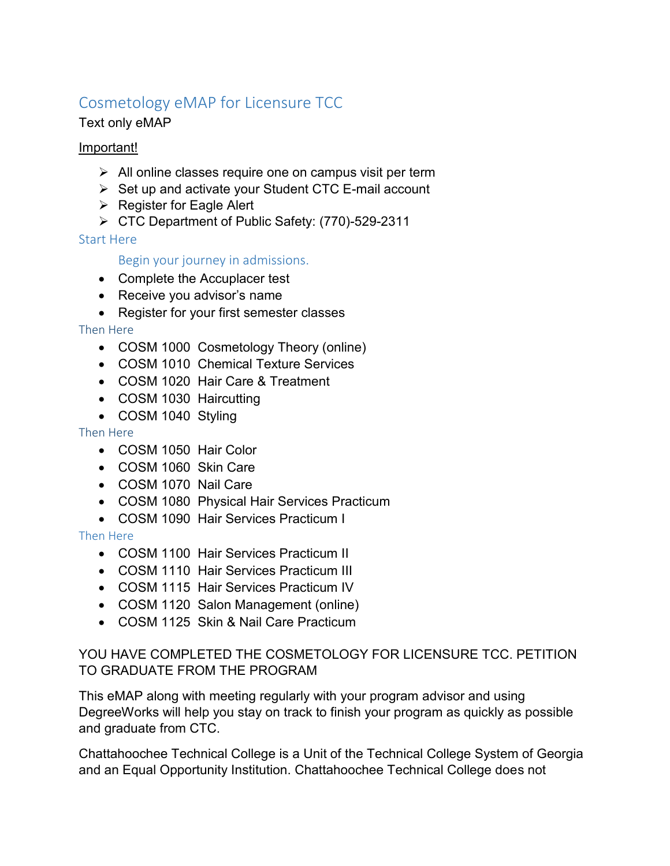# Cosmetology eMAP for Licensure TCC

# Text only eMAP

## Important!

- $\triangleright$  All online classes require one on campus visit per term
- $\triangleright$  Set up and activate your Student CTC E-mail account
- $\triangleright$  Register for Eagle Alert
- CTC Department of Public Safety: (770)-529-2311

## Start Here

## Begin your journey in admissions.

- Complete the Accuplacer test
- Receive you advisor's name
- Register for your first semester classes

## Then Here

- COSM 1000 Cosmetology Theory (online)
- COSM 1010 Chemical Texture Services
- COSM 1020 Hair Care & Treatment
- COSM 1030 Haircutting
- COSM 1040 Styling

## Then Here

- COSM 1050 Hair Color
- COSM 1060 Skin Care
- COSM 1070 Nail Care
- COSM 1080 Physical Hair Services Practicum
- COSM 1090 Hair Services Practicum I

## Then Here

- COSM 1100 Hair Services Practicum II
- COSM 1110 Hair Services Practicum III
- COSM 1115 Hair Services Practicum IV
- COSM 1120 Salon Management (online)
- COSM 1125 Skin & Nail Care Practicum

## YOU HAVE COMPLETED THE COSMETOLOGY FOR LICENSURE TCC. PETITION TO GRADUATE FROM THE PROGRAM

This eMAP along with meeting regularly with your program advisor and using DegreeWorks will help you stay on track to finish your program as quickly as possible and graduate from CTC.

Chattahoochee Technical College is a Unit of the Technical College System of Georgia and an Equal Opportunity Institution. Chattahoochee Technical College does not